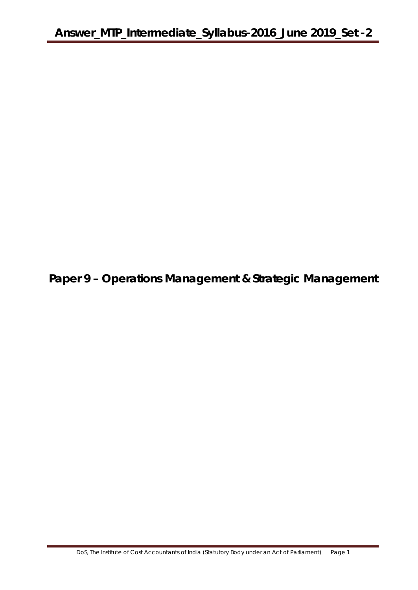**Paper 9 – Operations Management & Strategic Management**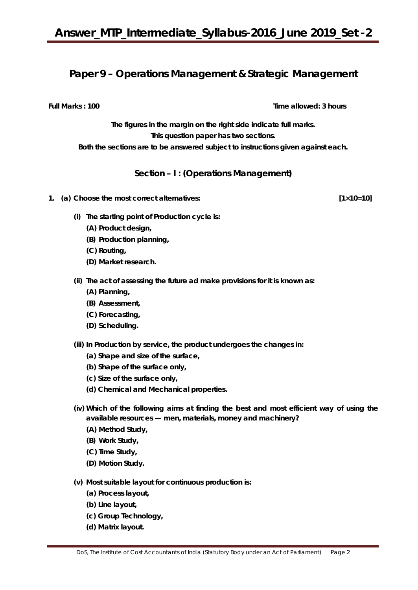## **Paper 9 – Operations Management & Strategic Management**

**Full Marks : 100** Time allowed: 3 hours

**The figures in the margin on the right side indicate full marks. This question paper has two sections. Both the sections are to be answered subject to instructions given against each.**

**Section – I : (Operations Management)**

- **1. (a) Choose the most correct alternatives: [1×10=10]** 
	- **(i) The starting point of Production cycle is:**
		- **(A) Product design,**
		- **(B) Production planning,**
		- **(C) Routing,**
		- **(D) Market research.**
	- **(ii) The act of assessing the future ad make provisions for it is known as:**
		- **(A) Planning,**
		- **(B) Assessment,**
		- **(C) Forecasting,**
		- **(D) Scheduling.**
	- **(iii) In Production by service, the product undergoes the changes in:**
		- **(a) Shape and size of the surface,**
		- **(b) Shape of the surface only,**
		- **(c) Size of the surface only,**
		- **(d) Chemical and Mechanical properties.**
	- **(iv) Which of the following aims at finding the best and most efficient way of using the available resources — men, materials, money and machinery?**
		- **(A) Method Study,**
		- **(B) Work Study,**
		- **(C) Time Study,**
		- **(D) Motion Study.**
	- **(v) Most suitable layout for continuous production is:**
		- **(a) Process layout,**
		- **(b) Line layout,**
		- **(c) Group Technology,**
		- **(d) Matrix layout.**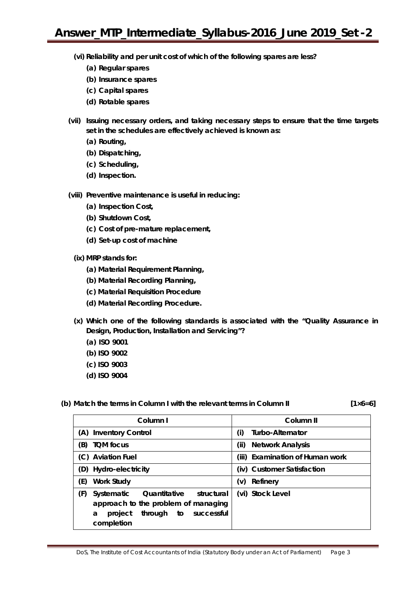- **(vi) Reliability and per unit cost of which of the following spares are less?**
	- **(a) Regular spares**
	- **(b) Insurance spares**
	- **(c) Capital spares**
	- **(d) Rotable spares**
- **(vii) Issuing necessary orders, and taking necessary steps to ensure that the time targets set in the schedules are effectively achieved is known as:**
	- **(a) Routing,**
	- **(b) Dispatching,**
	- **(c) Scheduling,**
	- **(d) Inspection.**
- **(viii) Preventive maintenance is useful in reducing:** 
	- **(a) Inspection Cost,**
	- **(b) Shutdown Cost,**
	- **(c) Cost of pre-mature replacement,**
	- **(d) Set-up cost of machine**
	- **(ix) MRP stands for:**
		- **(a) Material Requirement Planning,**
		- **(b) Material Recording Planning,**
		- **(c) Material Requisition Procedure**
		- **(d) Material Recording Procedure.**
	- **(x) Which one of the following standards is associated with the "Quality Assurance in Design, Production, Installation and Servicing"?** 
		- **(a) ISO 9001**
		- **(b) ISO 9002**
		- **(c) ISO 9003**
		- **(d) ISO 9004**

#### (b) Match the terms in Column I with the relevant terms in Column II  $[1 \times 6=6]$

| Column I                                                                                                                                            | Column II                       |  |  |
|-----------------------------------------------------------------------------------------------------------------------------------------------------|---------------------------------|--|--|
| <b>Inventory Control</b><br>(A)                                                                                                                     | Turbo-Alternator<br>(i)         |  |  |
| (B)<br><b>TOM focus</b>                                                                                                                             | <b>Network Analysis</b><br>(ii) |  |  |
| (C) Aviation Fuel                                                                                                                                   | (iii) Examination of Human work |  |  |
| (D) Hydro-electricity                                                                                                                               | (iv) Customer Satisfaction      |  |  |
| (E)<br><b>Work Study</b>                                                                                                                            | Refinery<br>(v)                 |  |  |
| (F)<br>Quantitative<br>structural<br>Systematic<br>approach to the problem of managing<br>successful<br>through<br>project<br>a<br>to<br>completion | (vi) Stock Level                |  |  |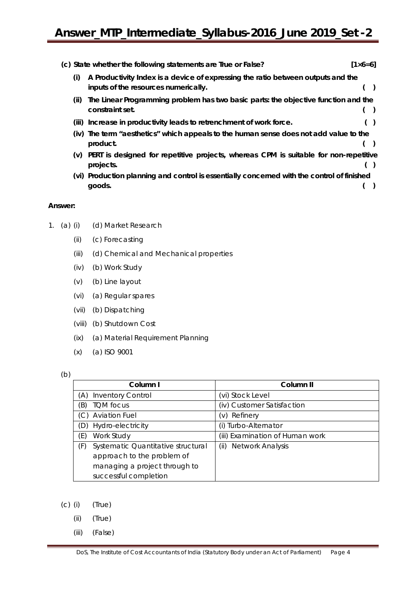|      | (c) State whether the following statements are True or False?                              | $[1 \times 6 = 6]$ |
|------|--------------------------------------------------------------------------------------------|--------------------|
| (i)  | A Productivity Index is a device of expressing the ratio between outputs and the           |                    |
|      | inputs of the resources numerically.                                                       |                    |
| (ii) | The Linear Programming problem has two basic parts: the objective function and the         |                    |
|      | constraint set.                                                                            |                    |
|      | (iii) Increase in productivity leads to retrenchment of work force.                        |                    |
|      | (iv) The term "aesthetics" which appeals to the human sense does not add value to the      |                    |
|      | product.                                                                                   |                    |
| (v)  | PERT is designed for repetitive projects, whereas CPM is suitable for non-repetitive       |                    |
|      | projects.                                                                                  |                    |
|      | (vi) Production planning and control is essentially concerned with the control of finished |                    |
|      | goods.                                                                                     |                    |

#### **Answer:**

- 1. (a) (i) (d) Market Research
	- (ii) (c) Forecasting
	- (iii) (d) Chemical and Mechanical properties
	- (iv) (b) Work Study
	- (v) (b) Line layout
	- (vi) (a) Regular spares
	- (vii) (b) Dispatching
	- (viii) (b) Shutdown Cost
	- (ix) (a) Material Requirement Planning
	- (x) (a) ISO 9001

#### (b)

| Column I                                  | Column <sub>II</sub>            |
|-------------------------------------------|---------------------------------|
| <b>Inventory Control</b><br>(A)           | (vi) Stock Level                |
| <b>TQM</b> focus<br>(B)                   | (iv) Customer Satisfaction      |
| <b>Aviation Fuel</b><br>(C)               | (v) Refinery                    |
| Hydro-electricity<br>(D)                  | Turbo-Alternator<br>(i)         |
| Work Study<br>(E)                         | (iii) Examination of Human work |
| Systematic Quantitative structural<br>(F) | Network Analysis<br>(ii)        |
| approach to the problem of                |                                 |
| managing a project through to             |                                 |
| successful completion                     |                                 |

- (c) (i) (True)
	- (ii) (True)
	- (iii) (False)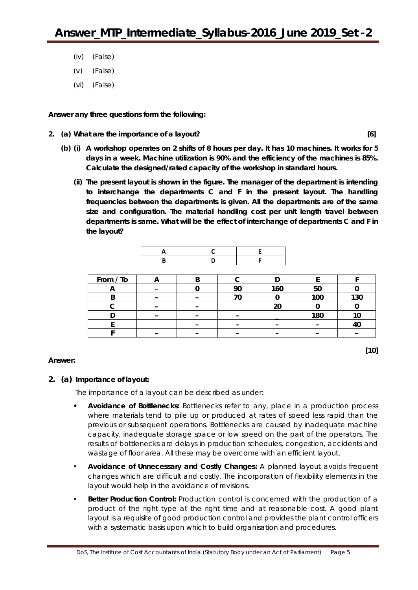- (iv) (False)
- (v) (False)
- (vi) (False)

**Answer any** *three* **questions form the following:**

**2. (a) What are the importance of a layout? [6]**

- **(b) (i) A workshop operates on 2 shifts of 8 hours per day. It has 10 machines. It works for 5 days in a week. Machine utilization is 90% and the efficiency of the machines is 85%. Calculate the designed/rated capacity of the workshop in standard hours.** 
	- **(ii) The present layout is shown in the figure. The manager of the department is intending to interchange the departments C and F in the present layout. The handling frequencies between the departments is given. All the departments are of the same size and configuration. The material handling cost per unit length travel between departments is same. What will be the effect of interchange of departments C and F in the layout?**



| From / To |  |    |     |     |     |
|-----------|--|----|-----|-----|-----|
|           |  | ററ | 160 | 50  |     |
|           |  |    |     | 100 | 130 |
|           |  |    | າດ  |     |     |
|           |  |    |     | 180 |     |
|           |  |    |     |     |     |
|           |  |    |     |     |     |

**[10]**

## **Answer:**

## **2. (a) Importance of layout:**

The importance of a layout can be described as under:

- **•** *Avoidance of Bottlenecks:* Bottlenecks refer to any, place in a production process where materials tend to pile up or produced at rates of speed less rapid than the previous or subsequent operations. Bottlenecks are caused by inadequate machine capacity, inadequate storage space or low speed on the part of the operators. The results of bottlenecks are delays in production schedules, congestion, accidents and wastage of floor area. All these may be overcome with an efficient layout.
- *Avoidance of Unnecessary and Costly Changes: A* planned layout avoids frequent changes which are difficult and costly. The incorporation of flexibility elements in the layout would help in the avoidance of revisions.
- *Better Production Control:* Production control is concerned with the production of a product of the right type at the right time and at reasonable cost. A good plant layout is a requisite of good production control and provides the plant control officers with a systematic basis upon which to build organisation and procedures.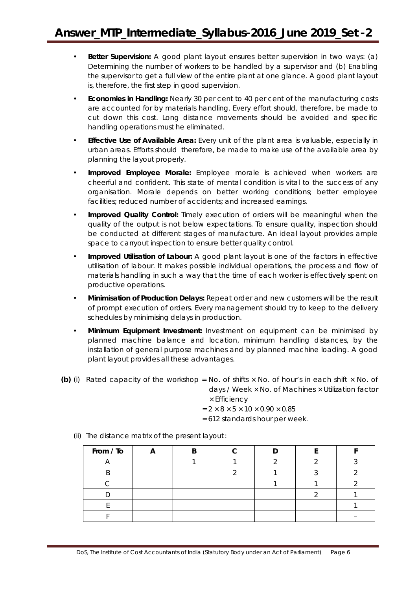- **Better Supervision:** A good plant layout ensures better supervision in two ways: (a) Determining the number of workers to be handled by a supervisor and (b) Enabling the supervisor to get a full view of the entire plant at one glance. A good plant layout is, therefore, the first step in good supervision.
- *Economies in Handling:* Nearly 30 per cent to 40 per cent of the manufacturing costs are accounted for by materials handling. Every effort should, therefore, be made to cut down this cost. Long distance movements should be avoided and specific handling operations must he eliminated.
- *Effective Use of Available Area:* Every unit of the plant area is valuable, especially in urban areas. Efforts should therefore, be made to make use of the available area by planning the layout properly.
- *Improved Employee Morale:* Employee morale is achieved when workers are cheerful and confident. This state of mental condition is vital to the success of any organisation. Morale depends on better working conditions; better employee facilities; reduced number of accidents; and increased earnings.
- *Improved Quality Control:* Timely execution of orders will be meaningful when the quality of the output is not below expectations. To ensure quality, inspection should be conducted at different stages of manufacture. An ideal layout provides ample space to carryout inspection to ensure better quality control.
- **Improved Utilisation of Labour:** A good plant layout is one of the factors in effective utilisation of labour. It makes possible individual operations, the process and flow of materials handling in such a way that the time of each worker is effectively spent on productive operations.
- *Minimisation of Production Delays:* Repeat order and new customers will be the result of prompt execution of orders. Every management should try to keep to the delivery schedules by minimising delays in production.
- *Minimum Equipment Investment:* Investment on equipment can be minimised by planned machine balance and location, minimum handling distances, by the installation of general purpose machines and by planned machine loading. A good plant layout provides all these advantages.
- **(b)** (i) Rated capacity of the workshop = No. of shifts  $\times$  No. of hour's in each shift  $\times$  No. of days / Week × No. of Machines × Utilization factor

× Efficiency

- $= 2 \times 8 \times 5 \times 10 \times 0.90 \times 0.85$
- = 612 standards hour per week.

| From / To |  |  |  |
|-----------|--|--|--|
|           |  |  |  |
|           |  |  |  |
|           |  |  |  |
|           |  |  |  |
|           |  |  |  |
|           |  |  |  |

(ii) The distance matrix of the present layout: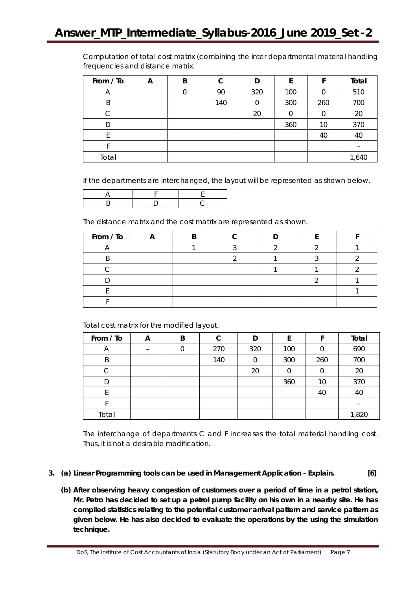Computation of total cost matrix (combining the inter departmental material handling frequencies and distance matrix.

| From / To | A | B | С   | D   | E   |     | Total |
|-----------|---|---|-----|-----|-----|-----|-------|
| A         |   |   | 90  | 320 | 100 |     | 510   |
| B         |   |   | 140 |     | 300 | 260 | 700   |
|           |   |   |     | 20  | 0   |     | 20    |
| D         |   |   |     |     | 360 | 10  | 370   |
|           |   |   |     |     |     | 40  | 40    |
|           |   |   |     |     |     |     |       |
| Total     |   |   |     |     |     |     | 1,640 |

If the departments are interchanged, the layout will be represented as shown below.

The distance matrix and the cost matrix are represented as shown.

| From / To |  |  |  |
|-----------|--|--|--|
|           |  |  |  |
|           |  |  |  |
|           |  |  |  |
|           |  |  |  |
|           |  |  |  |
|           |  |  |  |

Total cost matrix for the modified layout.

| From / To | A | B | С   | D   | E   |     | Total |
|-----------|---|---|-----|-----|-----|-----|-------|
| A         |   |   | 270 | 320 | 100 |     | 690   |
| B         |   |   | 140 |     | 300 | 260 | 700   |
| С         |   |   |     | 20  |     | O   | 20    |
|           |   |   |     |     | 360 | 10  | 370   |
|           |   |   |     |     |     | 40  | 40    |
|           |   |   |     |     |     |     |       |
| Total     |   |   |     |     |     |     | 1,820 |

The interchange of departments C and F increases the total material handling cost. Thus, it is not a desirable modification.

- **3. (a) Linear Programming tools can be used in Management Application - Explain. [6]**
	- **(b) After observing heavy congestion of customers over a period of time in a petrol station, Mr. Petro has decided to set up a petrol pump facility on his own in a nearby site. He has compiled statistics relating to the potential customer arrival pattern and service pattern as given below. He has also decided to evaluate the operations by the using the simulation technique.**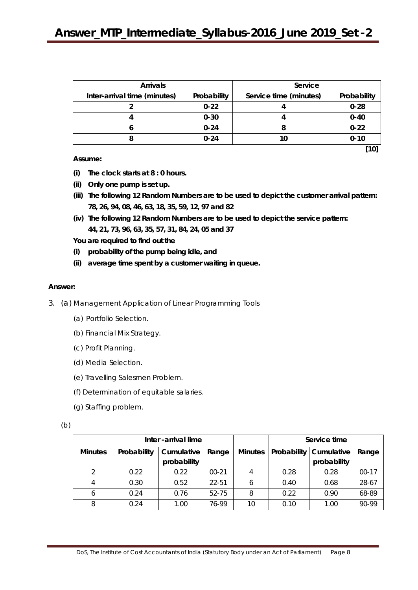| <b>Arrivals</b>              |             | Service                |             |  |  |
|------------------------------|-------------|------------------------|-------------|--|--|
| Inter-arrival time (minutes) | Probability | Service time (minutes) | Probability |  |  |
|                              | $0 - 22$    |                        | $0 - 28$    |  |  |
|                              | $0 - 30$    |                        | $0 - 40$    |  |  |
|                              | $0 - 24$    |                        | $0 - 22$    |  |  |
|                              | $0 - 24$    |                        | $0 - 10$    |  |  |

**Assume:**

- **(i) The clock starts at 8 : 0 hours.**
- **(ii) Only one pump is set up.**
- **(iii) The following 12 Random Numbers are to be used to depict the customer arrival pattern: 78, 26, 94, 08, 46, 63, 18, 35, 59, 12, 97 and 82**
- **(iv) The following 12 Random Numbers are to be used to depict the service pattern: 44, 21, 73, 96, 63, 35, 57, 31, 84, 24, 05 and 37**

**You are required to find out the**

- **(i) probability of the pump being idle, and**
- **(ii) average time spent by a customer waiting in queue.**

#### **Answer:**

- 3. (a) Management Application of Linear Programming Tools
	- (a) Portfolio Selection.
	- (b) Financial Mix Strategy.
	- (c) Profit Planning.
	- (d) Media Selection.
	- (e) Travelling Salesmen Problem.
	- (f) Determination of equitable salaries.
	- (g) Staffing problem.

(b)

|                |             | Inter -arrival lime |         |                | Service time |                          |         |  |
|----------------|-------------|---------------------|---------|----------------|--------------|--------------------------|---------|--|
| <b>Minutes</b> | Probability | Cumulative          | Range   | <b>Minutes</b> |              | Probability   Cumulative | Range   |  |
|                |             | probability         |         |                |              | probability              |         |  |
|                | 0.22        | 0.22                | $00-21$ |                | 0.28         | 0.28                     | $00-17$ |  |
| 4              | 0.30        | 0.52                | 22-51   | b              | 0.40         | 0.68                     | 28-67   |  |
| <sup>6</sup>   | 0.24        | 0.76                | 52-75   | 8              | 0.22         | 0.90                     | 68-89   |  |
| 8              | 0.24        | 1.00                | 76-99   | 10             | 0.10         | 1.00                     | 90-99   |  |

**[10]**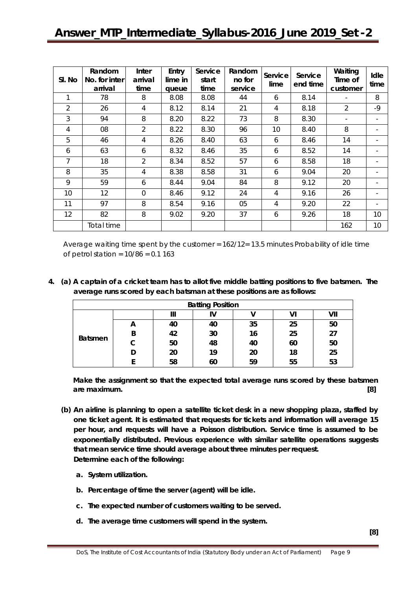| SI. No | Random<br>No. for inter<br>arrival | Inter<br>arrival<br>time | Entry<br>lime in<br>queue | Service<br>start<br>time | Random<br>no for<br>service | Service<br>lime | Service<br>end time | Waiting<br>Time of<br>customer | Idle<br>time             |
|--------|------------------------------------|--------------------------|---------------------------|--------------------------|-----------------------------|-----------------|---------------------|--------------------------------|--------------------------|
| 1      | 78                                 | 8                        | 8.08                      | 8.08                     | 44                          | 6               | 8.14                |                                | 8                        |
| 2      | 26                                 | 4                        | 8.12                      | 8.14                     | 21                          | 4               | 8.18                | $\overline{2}$                 | $-9$                     |
| 3      | 94                                 | 8                        | 8.20                      | 8.22                     | 73                          | 8               | 8.30                | $\overline{\phantom{a}}$       | $\overline{\phantom{a}}$ |
| 4      | 08                                 | $\overline{2}$           | 8.22                      | 8.30                     | 96                          | 10              | 8.40                | 8                              | $\overline{\phantom{a}}$ |
| 5      | 46                                 | 4                        | 8.26                      | 8.40                     | 63                          | 6               | 8.46                | 14                             |                          |
| 6      | 63                                 | 6                        | 8.32                      | 8.46                     | 35                          | 6               | 8.52                | 14                             |                          |
| 7      | 18                                 | $\overline{2}$           | 8.34                      | 8.52                     | 57                          | 6               | 8.58                | 18                             | $\overline{\phantom{a}}$ |
| 8      | 35                                 | 4                        | 8.38                      | 8.58                     | 31                          | 6               | 9.04                | 20                             |                          |
| 9      | 59                                 | 6                        | 8.44                      | 9.04                     | 84                          | 8               | 9.12                | 20                             |                          |
| 10     | 12                                 | $\overline{0}$           | 8.46                      | 9.12                     | 24                          | 4               | 9.16                | 26                             | $\overline{\phantom{a}}$ |
| 11     | 97                                 | 8                        | 8.54                      | 9.16                     | 05                          | $\overline{4}$  | 9.20                | 22                             | $\overline{\phantom{a}}$ |
| 12     | 82                                 | 8                        | 9.02                      | 9.20                     | 37                          | 6               | 9.26                | 18                             | 10                       |
|        | Total time                         |                          |                           |                          |                             |                 |                     | 162                            | 10                       |

Average waiting time spent by the customer = 162/12= 13.5 minutes Probability of idle time of petrol station =  $10/86 = 0.1 163$ 

**4. (a) A captain of a cricket team has to allot five middle batting positions to five batsmen. The average runs scored by each batsman at these positions are as follows:**

| <b>Batting Position</b> |   |    |    |    |    |     |  |
|-------------------------|---|----|----|----|----|-----|--|
| <b>Batsmen</b>          |   | Ш  | I٧ |    | VI | VII |  |
|                         | A | 40 | 40 | 35 | 25 | 50  |  |
|                         | B | 42 | 30 | 16 | 25 | 27  |  |
|                         | С | 50 | 48 | 40 | 60 | 50  |  |
|                         |   | 20 | 19 | 20 | 18 | 25  |  |
|                         |   | 58 | 60 | 59 | 55 | 53  |  |

**Make the assignment so that the expected total average runs scored by these batsmen are maximum. [8]**

- **(b) An airline is planning to open a satellite ticket desk in a new shopping plaza, staffed by one ticket agent. It is estimated that requests for tickets and information will average 15 per hour, and requests will have a Poisson distribution. Service time is assumed to be exponentially distributed. Previous experience with similar satellite operations suggests that mean service time should average about three minutes per request. Determine each of the following:**
	- **a. System utilization.**
	- **b. Percentage of time the server (agent) will be idle.**
	- **c. The expected number of customers waiting to be served.**
	- **d. The average time customers will spend in the system.**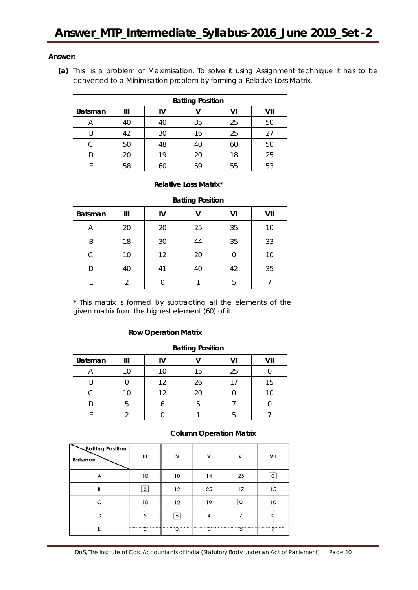#### **Answer:**

**(a)** This is a problem of Maximisation. To solve it using Assignment technique it has to be converted to a Minimisation problem by forming a Relative Loss Matrix.

|                | <b>Batting Position</b> |                 |    |    |    |  |  |  |
|----------------|-------------------------|-----------------|----|----|----|--|--|--|
| <b>Batsman</b> | Ш                       | VII<br>VI<br>IV |    |    |    |  |  |  |
| Α              | 40                      | 40              | 35 | 25 | 50 |  |  |  |
| Β              | 42                      | 30              | 16 | 25 | 27 |  |  |  |
| C              | 50                      | 48              | 40 | 60 | 50 |  |  |  |
|                | 20                      | 19              | 20 | 18 | 25 |  |  |  |
|                | 58                      |                 | 59 | 55 | 53 |  |  |  |

#### **Relative Loss Matrix\***

|                | <b>Batting Position</b> |    |    |    |     |  |
|----------------|-------------------------|----|----|----|-----|--|
| <b>Batsman</b> | Ш                       | IV | v  | VI | VII |  |
| Α              | 20                      | 20 | 25 | 35 | 10  |  |
| B              | 18                      | 30 | 44 | 35 | 33  |  |
| C              | 10                      | 12 | 20 | 0  | 10  |  |
| D              | 40                      | 41 | 40 | 42 | 35  |  |
| F              | $\mathfrak{D}$          |    |    | 5  |     |  |

**\*** This matrix is formed by subtracting all the elements of the given matrix from the highest element (60) of it.

#### **Row Operation Matrix**

|         | <b>Batting Position</b> |    |    |    |    |  |  |
|---------|-------------------------|----|----|----|----|--|--|
| Batsman | VII<br>Ш<br>v           |    |    |    |    |  |  |
|         |                         |    | 15 | 25 |    |  |  |
| R       |                         | 12 | 26 |    | 15 |  |  |
|         |                         | 1つ | 20 |    |    |  |  |
|         |                         |    |    |    |    |  |  |
|         |                         |    |    |    |    |  |  |

#### **Column Operation Matrix**

| <b>Batting Position</b><br>Batsman | Ш  | I۷             | ٧  | ٧I  | VII |
|------------------------------------|----|----------------|----|-----|-----|
|                                    | ıю | 10             | 14 | 25  |     |
| B                                  | Ò  | 12             | 25 | 1:7 | 15  |
| ⌒                                  | 10 | 12             | 19 | ٥   |     |
| D                                  |    | 6              |    |     |     |
| F                                  |    | ∙o………l………o<br> |    |     | . W |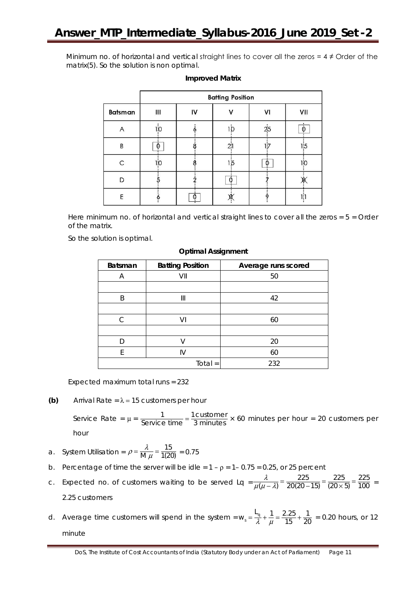Minimum no. of horizontal and vertical straight lines to cover all the zeros =  $4 \neq$  Order of the matrix(5). So the solution is non optimal.

|                | <b>Batting Position</b> |    |   |        |     |  |
|----------------|-------------------------|----|---|--------|-----|--|
| Batsman        | $\mathbf{III}$          | IV | v | VI     | VII |  |
| A              | 10                      |    |   | 25     | 0   |  |
| $\overline{B}$ | 0                       |    |   |        | 1:5 |  |
| $\overline{C}$ | 10                      |    |   | 0<br>÷ | 1:0 |  |
| D              |                         |    | О |        |     |  |
| E              |                         | Ο  |   |        | 15  |  |

#### **Improved Matrix**

Here minimum no. of horizontal and vertical straight lines to cover all the zeros =  $5 =$  Order of the matrix.

So the solution is optimal.

| Batsman | <b>Batting Position</b> | Average runs scored |
|---------|-------------------------|---------------------|
| Α       | VII                     | 50                  |
|         |                         |                     |
| B       | Ш                       | 42                  |
|         |                         |                     |
| C.      | VI                      | 60                  |
|         |                         |                     |
|         |                         | 20                  |
| F       | IV                      | 60                  |
|         | $Total =$               | 232                 |

#### **Optimal Assignment**

Expected maximum total runs = 232

**(b)** Arrival Rate =  $\lambda$  = 15 customers per hour

Service Rate =  $\mu$  =  $\frac{1}{\text{Service time}} = \frac{1 \text{ customer}}{3 \text{ minutes}} \times 60 \text{ minutes per hour} = 20 \text{ customers per}$ hour

a. System Utilisation = 
$$
\rho = \frac{\lambda}{M \mu} = \frac{15}{1(20)} = 0.75
$$

- b. Percentage of time the server will be idle =  $1 \rho = 1 0.75 = 0.25$ , or 25 percent
- c. Expected no. of customers waiting to be served Lq  $= \frac{\lambda}{\mu(\mu \lambda)} = \frac{225}{20(20-15)} = \frac{225}{(20 \times 5)} = \frac{225}{100}$  $\frac{\lambda}{\mu(\mu - \lambda)} = \frac{225}{20(20 - 15)} = \frac{225}{(20 \times 5)} = \frac{225}{100} =$ 2.25 customers
- d. Average time customers will spend in the system =  $w_s = \frac{L_q}{\lambda} + \frac{1}{\mu} = \frac{2.25}{15} + \frac{1}{20} = 0.20$  hours, or 12 minute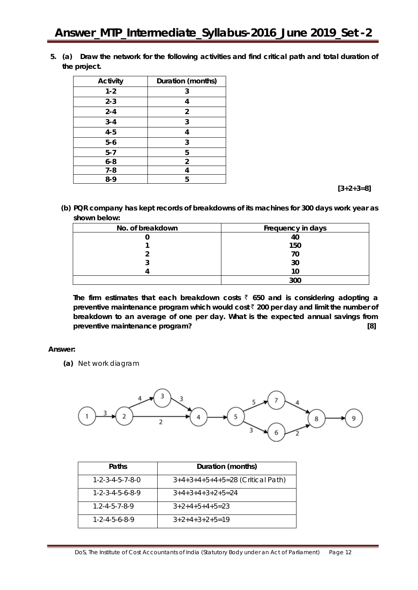**5. (a) Draw the network for the following activities and find critical path and total duration of the project.**

| Activity | Duration (months) |
|----------|-------------------|
| $1 - 2$  | 3                 |
| $2 - 3$  | 4                 |
| $2 - 4$  | $\overline{2}$    |
| $3 - 4$  | 3                 |
| $4 - 5$  | 4                 |
| $5-6$    | 3                 |
| $5 - 7$  | 5                 |
| $6 - 8$  | 2                 |
| $7 - 8$  |                   |
| 8-9      | 5                 |

 **[3+2+3=8]**

**(b) PQR company has kept records of breakdowns of its machines for 300 days work year as shown below:**

| No. of breakdown | Frequency in days |
|------------------|-------------------|
|                  |                   |
|                  | 150               |
|                  | 70                |
|                  | 30                |
|                  |                   |
|                  |                   |

**The firm estimates that each breakdown costs** ` **650 and is considering adopting a preventive maintenance program which would cost** ` **200 per day and limit the number of breakdown to an average of one per day. What is the expected annual savings from preventive maintenance program? [8]**

## **Answer:**

**(a)** Net work diagram



| Paths                           | Duration (months)                  |
|---------------------------------|------------------------------------|
| $1 - 2 - 3 - 4 - 5 - 7 - 8 - 0$ | $3+4+3+4+5+4+5=28$ (Critical Path) |
| $1 - 2 - 3 - 4 - 5 - 6 - 8 - 9$ | $3+4+3+4+3+2+5=24$                 |
| $1.2 - 4 - 5 - 7 - 8 - 9$       | $3+2+4+5+4+5=23$                   |
| $1 - 2 - 4 - 5 - 6 - 8 - 9$     | $3+2+4+3+2+5=19$                   |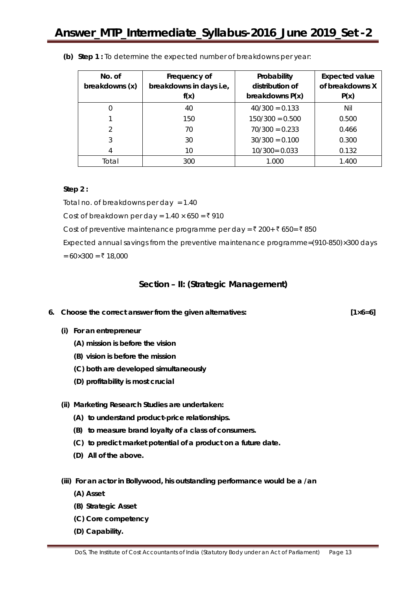| No. of<br>breakdowns (x) | Frequency of<br>breakdowns in days i.e,<br>f(x) | Probability<br>distribution of<br>breakdowns $P(x)$ | <b>Expected value</b><br>of breakdowns X<br>P(x) |
|--------------------------|-------------------------------------------------|-----------------------------------------------------|--------------------------------------------------|
|                          | 40                                              | $40/300 = 0.133$                                    | Nil                                              |
|                          | 150                                             | $150/300 = 0.500$                                   | 0.500                                            |
| $\mathcal{P}$            | 70                                              | $70/300 = 0.233$                                    | 0.466                                            |
| 3                        | 30                                              | $30/300 = 0.100$                                    | 0.300                                            |
| 4                        | 10                                              | $10/300 = 0.033$                                    | 0.132                                            |
| Total                    | 300                                             | 1.000                                               | 1.400                                            |

**(b) Step 1 :** To determine the expected number of breakdowns per year:

#### **Step 2 :**

Total no. of breakdowns per day  $= 1.40$ 

Cost of breakdown per day =  $1.40 \times 650 = ₹910$ 

Cost of preventive maintenance programme per day =  $\bar{\tau}$  200+  $\bar{\tau}$  650=  $\bar{\tau}$  850

Expected annual savings from the preventive maintenance programme=(910-850)×300 days

 $= 60 \times 300 = ₹ 18,000$ 

## **Section – II: (Strategic Management)**

- **6. Choose the correct answer from the given alternatives: [1×6=6]**
	- **(i) For an entrepreneur**
		- **(A) mission is before the vision**
		- **(B) vision is before the mission**
		- **(C) both are developed simultaneously**
		- **(D) profitability is most crucial**
	- **(ii) Marketing Research Studies are undertaken:**
		- **(A) to understand product-price relationships.**
		- **(B) to measure brand loyalty of a class of consumers.**
		- **(C) to predict market potential of a product on a future date.**
		- **(D) All of the above.**
	- **(iii) For an actor in Bollywood, his outstanding performance would be a /an**
		- **(A) Asset**
		- **(B) Strategic Asset**
		- **(C) Core competency**
		- **(D) Capability.**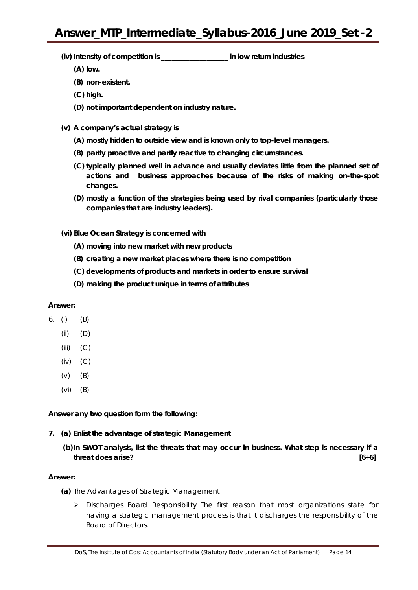- **(iv) Intensity of competition is \_\_\_\_\_\_\_\_\_\_\_\_\_\_\_\_\_\_\_ in low return industries**
	- **(A) low.**
	- **(B) non-existent.**
	- **(C) high.**
	- **(D) not important dependent on industry nature.**
- **(v) A company's actual strategy is**
	- **(A) mostly hidden to outside view and is known only to top-level managers.**
	- **(B) partly proactive and partly reactive to changing circumstances.**
	- **(C) typically planned well in advance and usually deviates little from the planned set of actions and business approaches because of the risks of making on-the-spot changes.**
	- **(D) mostly a function of the strategies being used by rival companies (particularly those companies that are industry leaders).**
- **(vi) Blue Ocean Strategy is concerned with**
	- **(A) moving into new market with new products**
	- **(B) creating a new market places where there is no competition**
	- **(C) developments of products and markets in order to ensure survival**
	- **(D) making the product unique in terms of attributes**

## **Answer:**

- 6. (i) (B)
	- (ii) (D)
	- $(iii)$   $(C)$
	- (iv) (C)
	- (v) (B)
	- (vi) (B)

**Answer any** *two* **question form the following:**

- **7. (a) Enlist the advantage of strategic Management**
	- **(b)In SWOT analysis, list the threats that may occur in business. What step is necessary if a threat does arise? [6+6]**

## **Answer:**

- **(a)** The Advantages of Strategic Management
	- $\triangleright$  Discharges Board Responsibility The first reason that most organizations state for having a strategic management process is that it discharges the responsibility of the Board of Directors.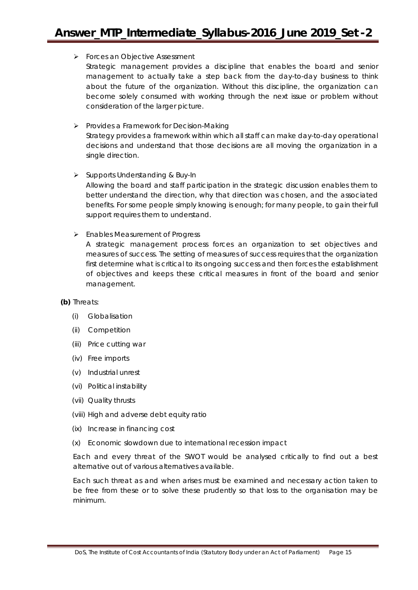## **Forces an Objective Assessment**

Strategic management provides a discipline that enables the board and senior management to actually take a step back from the day-to-day business to think about the future of the organization. Without this discipline, the organization can become solely consumed with working through the next issue or problem without consideration of the larger picture.

## $\triangleright$  Provides a Framework for Decision-Making

Strategy provides a framework within which all staff can make day-to-day operational decisions and understand that those decisions are all moving the organization in a single direction.

## $\triangleright$  Supports Understanding & Buy-In

Allowing the board and staff participation in the strategic discussion enables them to better understand the direction, why that direction was chosen, and the associated benefits. For some people simply knowing is enough; for many people, to gain their full support requires them to understand.

## **Enables Measurement of Progress**

A strategic management process forces an organization to set objectives and measures of success. The setting of measures of success requires that the organization first determine what is critical to its ongoing success and then forces the establishment of objectives and keeps these critical measures in front of the board and senior management.

## **(b)** Threats:

- (i) Globalisation
- (ii) Competition
- (iii) Price cutting war
- (iv) Free imports
- (v) Industrial unrest
- (vi) Political instability
- (vii) Quality thrusts
- (viii) High and adverse debt equity ratio
- (ix) Increase in financing cost
- (x) Economic slowdown due to international recession impact

Each and every threat of the SWOT would be analysed critically to find out a best alternative out of various alternatives available.

Each such threat as and when arises must be examined and necessary action taken to be free from these or to solve these prudently so that loss to the organisation may be minimum.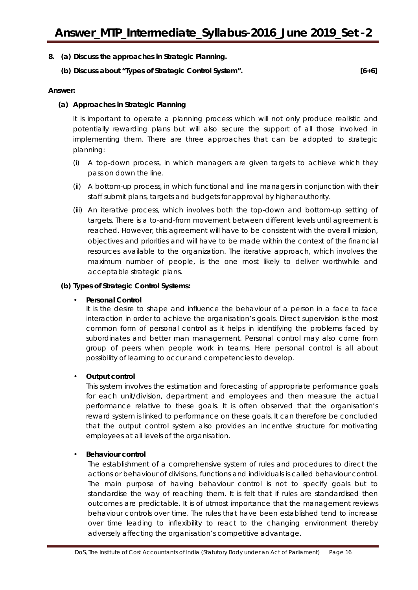- **8. (a) Discuss the approaches in Strategic Planning.**
	- **(b) Discuss about "Types of Strategic Control System". [6+6]**

#### **Answer:**

#### **(a) Approaches in Strategic Planning**

It is important to operate a planning process which will not only produce realistic and potentially rewarding plans but will also secure the support of all those involved in implementing them. There are three approaches that can be adopted to strategic planning:

- (i) A top-down process, in which managers are given targets to achieve which they pass on down the line.
- (ii) A bottom-up process, in which functional and line managers in conjunction with their staff submit plans, targets and budgets for approval by higher authority.
- (iii) An iterative process, which involves both the top-down and bottom-up setting of targets. There is a to-and-from movement between different levels until agreement is reached. However, this agreement will have to be consistent with the overall mission, objectives and priorities and will have to be made within the context of the financial resources available to the organization. The iterative approach, which involves the maximum number of people, is the one most likely to deliver worthwhile and acceptable strategic plans.

#### **(b) Types of Strategic Control Systems:**

## • **Personal Control**

It is the desire to shape and influence the behaviour of a person in a face to face interaction in order to achieve the organisation's goals. Direct supervision is the most common form of personal control as it helps in identifying the problems faced by subordinates and better man management. Personal control may also come from group of peers when people work in teams. Here personal control is all about possibility of learning to occur and competencies to develop.

## • **Output control**

This system involves the estimation and forecasting of appropriate performance goals for each unit/division, department and employees and then measure the actual performance relative to these goals. It is often observed that the organisation's reward system is linked to performance on these goals. It can therefore be concluded that the output control system also provides an incentive structure for motivating employees at all levels of the organisation.

## • **Behaviour control**

The establishment of a comprehensive system of rules and procedures to direct the actions or behaviour of divisions, functions and individuals is called behaviour control. The main purpose of having behaviour control is not to specify goals but to standardise the way of reaching them. It is felt that if rules are standardised then outcomes are predictable. It is of utmost importance that the management reviews behaviour controls over time. The rules that have been established tend to increase over time leading to inflexibility to react to the changing environment thereby adversely affecting the organisation's competitive advantage.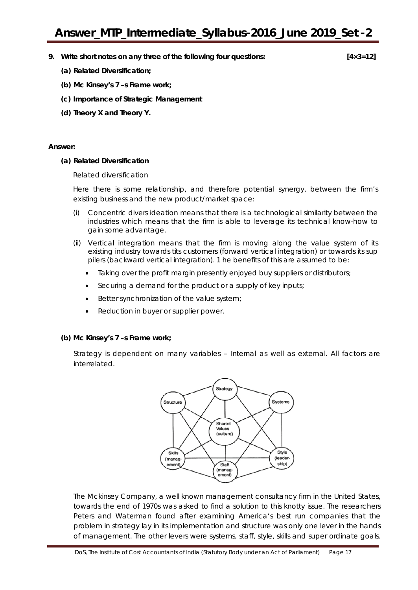**9. Write short notes on any three of the following four questions: [4×3=12]**

- **(a) Related Diversification;**
- **(b) Mc Kinsey's 7 –s Frame work;**
- **(c) Importance of Strategic Management**
- **(d) Theory X and Theory Y.**

#### **Answer:**

#### **(a) Related Diversification**

Related diversification

Here there is some relationship, and therefore potential synergy, between the firm's existing business and the new product/market space:

- (i) Concentric divers ideation means that there is a technological similarity between the industries which means that the firm is able to leverage its technical know-how to gain some advantage.
- (ii) Vertical integration means that the firm is moving along the value system of its existing industry towards tits customers (forward vertical integration) or towards its sup pilers (backward vertical integration). 1 he benefits of this are assumed to be:
	- Taking over the profit margin presently enjoyed buy suppliers or distributors;
	- Securing a demand for the product or a supply of key inputs;
	- Better synchronization of the value system;
	- Reduction in buyer or supplier power.

#### **(b) Mc Kinsey's 7 –s Frame work;**

Strategy is dependent on many variables – Internal as well as external. All factors are interrelated.



The Mckinsey Company, a well known management consultancy firm in the United States, towards the end of 1970s was asked to find a solution to this knotty issue. The researchers Peters and Waterman found after examining America's best run companies that the problem in strategy lay in its implementation and structure was only one lever in the hands of management. The other levers were systems, staff, style, skills and super ordinate goals.